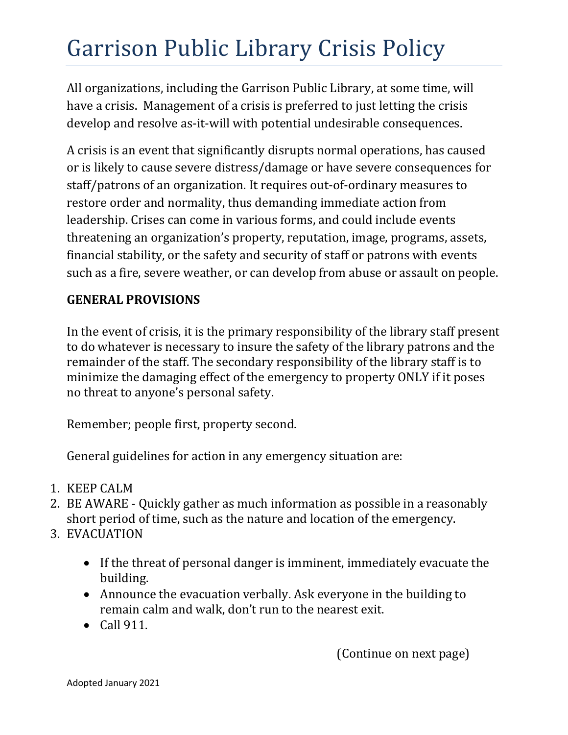# Garrison Public Library Crisis Policy

All organizations, including the Garrison Public Library, at some time, will have a crisis. Management of a crisis is preferred to just letting the crisis develop and resolve as‐it‐will with potential undesirable consequences.

A crisis is an event that significantly disrupts normal operations, has caused or is likely to cause severe distress/damage or have severe consequences for staff/patrons of an organization. It requires out‐of‐ordinary measures to restore order and normality, thus demanding immediate action from leadership. Crises can come in various forms, and could include events threatening an organization's property, reputation, image, programs, assets, financial stability, or the safety and security of staff or patrons with events such as a fire, severe weather, or can develop from abuse or assault on people.

# **GENERAL PROVISIONS**

In the event of crisis, it is the primary responsibility of the library staff present to do whatever is necessary to insure the safety of the library patrons and the remainder of the staff. The secondary responsibility of the library staff is to minimize the damaging effect of the emergency to property ONLY if it poses no threat to anyone's personal safety.

Remember; people first, property second.

General guidelines for action in any emergency situation are:

- 1. KEEP CALM
- 2. BE AWARE Quickly gather as much information as possible in a reasonably short period of time, such as the nature and location of the emergency.
- 3. EVACUATION
	- If the threat of personal danger is imminent, immediately evacuate the building.
	- Announce the evacuation verbally. Ask everyone in the building to remain calm and walk, don't run to the nearest exit.
	- $\bullet$  Call 911.

(Continue on next page)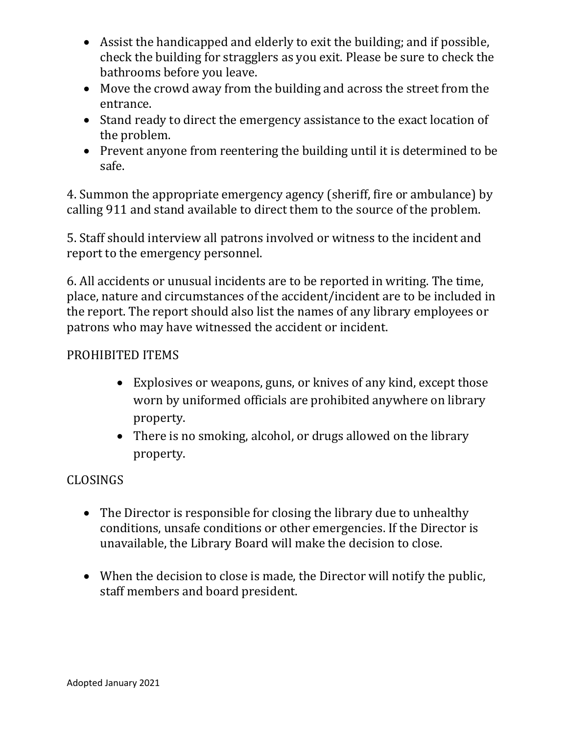- Assist the handicapped and elderly to exit the building; and if possible, check the building for stragglers as you exit. Please be sure to check the bathrooms before you leave.
- Move the crowd away from the building and across the street from the entrance.
- Stand ready to direct the emergency assistance to the exact location of the problem.
- Prevent anyone from reentering the building until it is determined to be safe.

4. Summon the appropriate emergency agency (sheriff, fire or ambulance) by calling 911 and stand available to direct them to the source of the problem.

5. Staff should interview all patrons involved or witness to the incident and report to the emergency personnel.

6. All accidents or unusual incidents are to be reported in writing. The time, place, nature and circumstances of the accident/incident are to be included in the report. The report should also list the names of any library employees or patrons who may have witnessed the accident or incident.

#### PROHIBITED ITEMS

- Explosives or weapons, guns, or knives of any kind, except those worn by uniformed officials are prohibited anywhere on library property.
- There is no smoking, alcohol, or drugs allowed on the library property.

# CLOSINGS

- The Director is responsible for closing the library due to unhealthy conditions, unsafe conditions or other emergencies. If the Director is unavailable, the Library Board will make the decision to close.
- When the decision to close is made, the Director will notify the public, staff members and board president.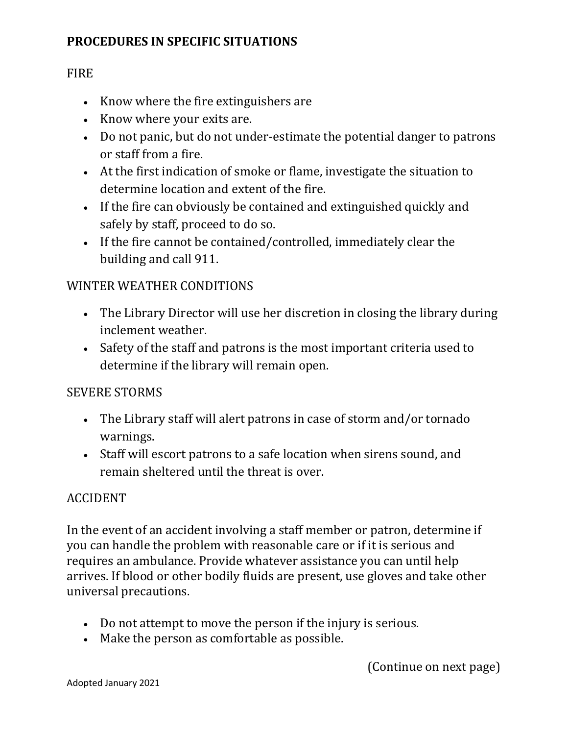## **PROCEDURES IN SPECIFIC SITUATIONS**

#### **FIRE**

- Know where the fire extinguishers are
- Know where your exits are.
- Do not panic, but do not under-estimate the potential danger to patrons or staff from a fire.
- At the first indication of smoke or flame, investigate the situation to determine location and extent of the fire.
- If the fire can obviously be contained and extinguished quickly and safely by staff, proceed to do so.
- If the fire cannot be contained/controlled, immediately clear the building and call 911.

## WINTER WEATHER CONDITIONS

- The Library Director will use her discretion in closing the library during inclement weather.
- Safety of the staff and patrons is the most important criteria used to determine if the library will remain open.

## SEVERE STORMS

- The Library staff will alert patrons in case of storm and/or tornado warnings.
- Staff will escort patrons to a safe location when sirens sound, and remain sheltered until the threat is over.

## ACCIDENT

In the event of an accident involving a staff member or patron, determine if you can handle the problem with reasonable care or if it is serious and requires an ambulance. Provide whatever assistance you can until help arrives. If blood or other bodily fluids are present, use gloves and take other universal precautions.

- Do not attempt to move the person if the injury is serious.
- Make the person as comfortable as possible.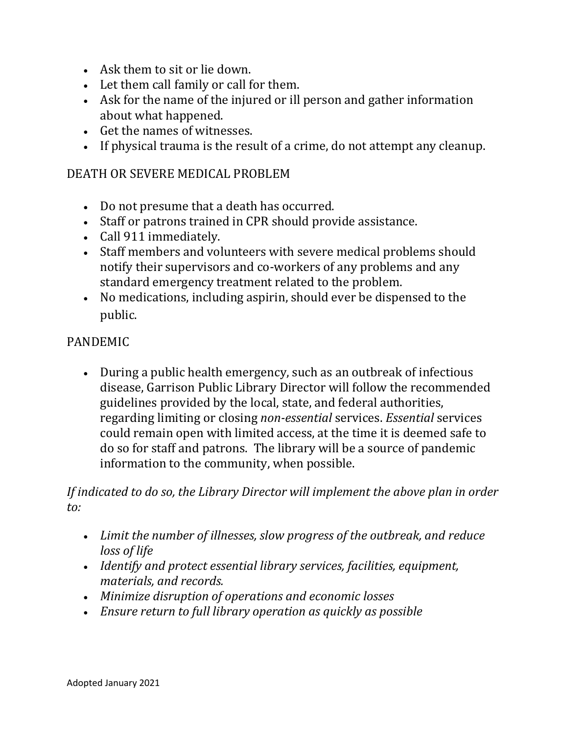- Ask them to sit or lie down.
- Let them call family or call for them.
- Ask for the name of the injured or ill person and gather information about what happened.
- Get the names of witnesses.
- If physical trauma is the result of a crime, do not attempt any cleanup.

#### DEATH OR SEVERE MEDICAL PROBLEM

- Do not presume that a death has occurred.
- Staff or patrons trained in CPR should provide assistance.
- Call 911 immediately.
- Staff members and volunteers with severe medical problems should notify their supervisors and co-workers of any problems and any standard emergency treatment related to the problem.
- No medications, including aspirin, should ever be dispensed to the public.

#### PANDEMIC

 During a public health emergency, such as an outbreak of infectious disease, Garrison Public Library Director will follow the recommended guidelines provided by the local, state, and federal authorities, regarding limiting or closing *non-essential* services. *Essential* services could remain open with limited access, at the time it is deemed safe to do so for staff and patrons. The library will be a source of pandemic information to the community, when possible.

*If indicated to do so, the Library Director will implement the above plan in order to:*

- *Limit the number of illnesses, slow progress of the outbreak, and reduce loss of life*
- *Identify and protect essential library services, facilities, equipment, materials, and records.*
- *Minimize disruption of operations and economic losses*
- *Ensure return to full library operation as quickly as possible*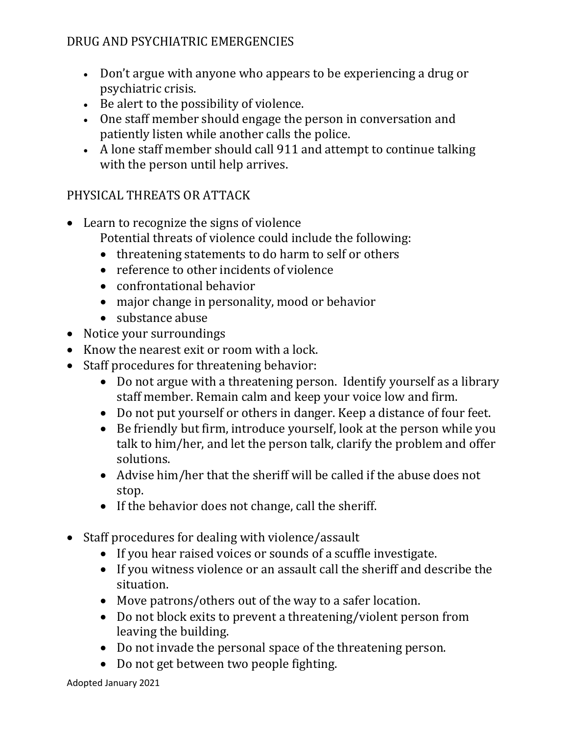## DRUG AND PSYCHIATRIC EMERGENCIES

- Don't argue with anyone who appears to be experiencing a drug or psychiatric crisis.
- Be alert to the possibility of violence.
- One staff member should engage the person in conversation and patiently listen while another calls the police.
- A lone staff member should call 911 and attempt to continue talking with the person until help arrives.

#### PHYSICAL THREATS OR ATTACK

- Learn to recognize the signs of violence Potential threats of violence could include the following:
	- threatening statements to do harm to self or others
	- reference to other incidents of violence
	- confrontational behavior
	- major change in personality, mood or behavior
	- substance abuse
- Notice your surroundings
- Know the nearest exit or room with a lock.
- Staff procedures for threatening behavior:
	- Do not argue with a threatening person. Identify yourself as a library staff member. Remain calm and keep your voice low and firm.
	- Do not put yourself or others in danger. Keep a distance of four feet.
	- Be friendly but firm, introduce yourself, look at the person while you talk to him/her, and let the person talk, clarify the problem and offer solutions.
	- Advise him/her that the sheriff will be called if the abuse does not stop.
	- If the behavior does not change, call the sheriff.
- Staff procedures for dealing with violence/assault
	- If you hear raised voices or sounds of a scuffle investigate.
	- If you witness violence or an assault call the sheriff and describe the situation.
	- Move patrons/others out of the way to a safer location.
	- Do not block exits to prevent a threatening/violent person from leaving the building.
	- Do not invade the personal space of the threatening person.
	- Do not get between two people fighting.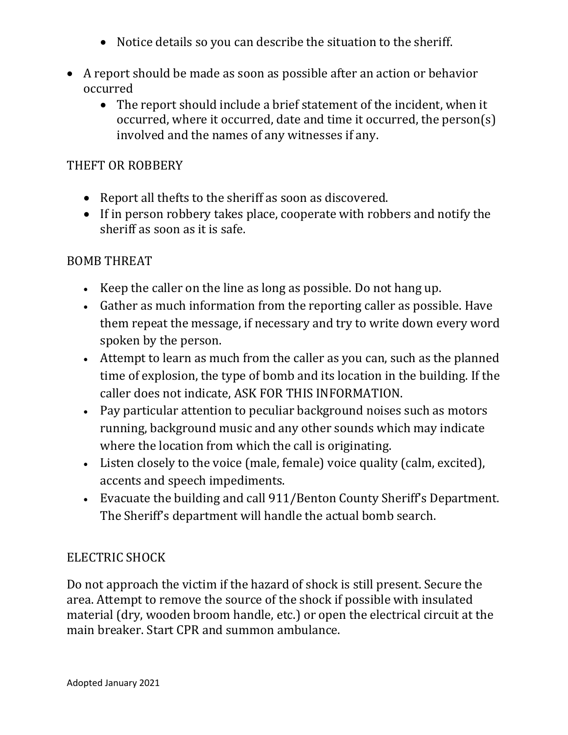- Notice details so you can describe the situation to the sheriff.
- A report should be made as soon as possible after an action or behavior occurred
	- The report should include a brief statement of the incident, when it occurred, where it occurred, date and time it occurred, the person(s) involved and the names of any witnesses if any.

#### THEFT OR ROBBERY

- Report all thefts to the sheriff as soon as discovered.
- If in person robbery takes place, cooperate with robbers and notify the sheriff as soon as it is safe.

## BOMB THREAT

- Keep the caller on the line as long as possible. Do not hang up.
- Gather as much information from the reporting caller as possible. Have them repeat the message, if necessary and try to write down every word spoken by the person.
- Attempt to learn as much from the caller as you can, such as the planned time of explosion, the type of bomb and its location in the building. If the caller does not indicate, ASK FOR THIS INFORMATION.
- Pay particular attention to peculiar background noises such as motors running, background music and any other sounds which may indicate where the location from which the call is originating.
- Listen closely to the voice (male, female) voice quality (calm, excited), accents and speech impediments.
- Evacuate the building and call 911/Benton County Sheriff's Department. The Sheriff's department will handle the actual bomb search.

## ELECTRIC SHOCK

Do not approach the victim if the hazard of shock is still present. Secure the area. Attempt to remove the source of the shock if possible with insulated material (dry, wooden broom handle, etc.) or open the electrical circuit at the main breaker. Start CPR and summon ambulance.